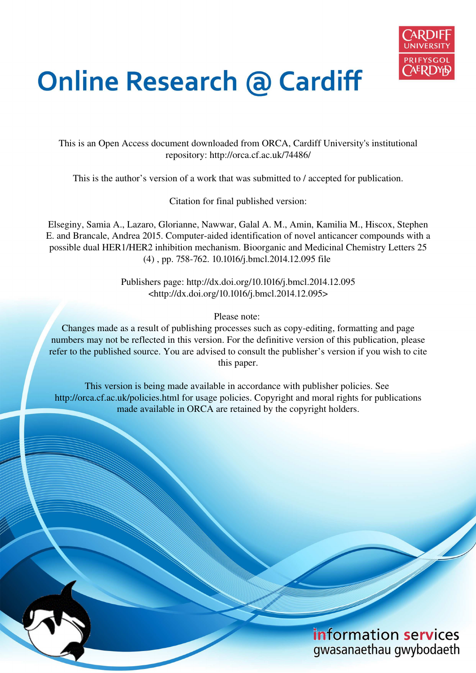

# **Online Research @ Cardiff**

This is an Open Access document downloaded from ORCA, Cardiff University's institutional repository: http://orca.cf.ac.uk/74486/

This is the author's version of a work that was submitted to / accepted for publication.

Citation for final published version:

Elseginy, Samia A., Lazaro, Glorianne, Nawwar, Galal A. M., Amin, Kamilia M., Hiscox, Stephen E. and Brancale, Andrea 2015. Computer-aided identification of novel anticancer compounds with a possible dual HER1/HER2 inhibition mechanism. Bioorganic and Medicinal Chemistry Letters 25 (4) , pp. 758-762. 10.1016/j.bmcl.2014.12.095 file

> Publishers page: http://dx.doi.org/10.1016/j.bmcl.2014.12.095 <http://dx.doi.org/10.1016/j.bmcl.2014.12.095>

> > Please note:

Changes made as a result of publishing processes such as copy-editing, formatting and page numbers may not be reflected in this version. For the definitive version of this publication, please refer to the published source. You are advised to consult the publisher's version if you wish to cite this paper.

This version is being made available in accordance with publisher policies. See http://orca.cf.ac.uk/policies.html for usage policies. Copyright and moral rights for publications made available in ORCA are retained by the copyright holders.

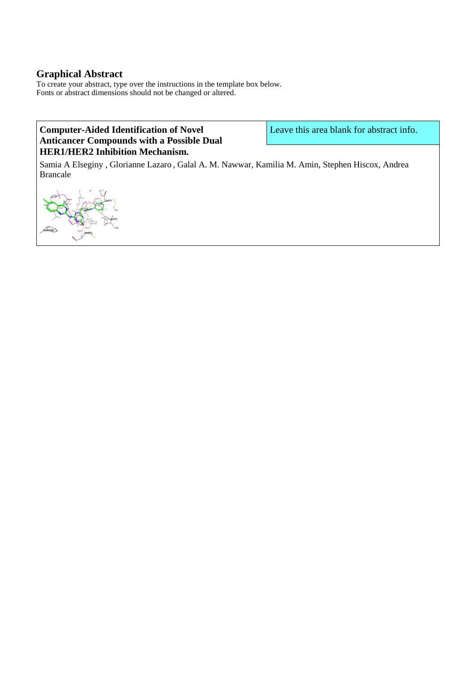## **Graphical Abstract**

To create your abstract, type over the instructions in the template box below. Fonts or abstract dimensions should not be changed or altered.

## **Computer-Aided Identification of Novel Anticancer Compounds with a Possible Dual HER1/HER2 Inhibition Mechanism.**

Leave this area blank for abstract info.

Samia A Elseginy , Glorianne Lazaro , Galal A. M. Nawwar, Kamilia M. Amin, Stephen Hiscox, Andrea Brancale

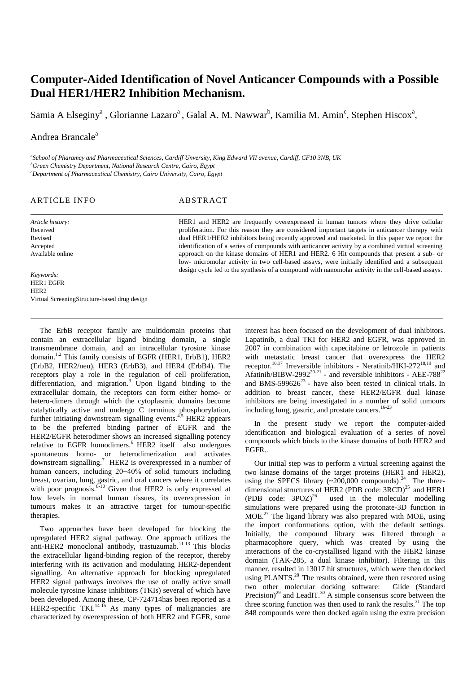## **Computer-Aided Identification of Novel Anticancer Compounds with a Possible Dual HER1/HER2 Inhibition Mechanism.**

Samia A Elseginy<sup>a</sup>, Glorianne Lazaro<sup>a</sup>, Galal A. M. Nawwar<sup>b</sup>, Kamilia M. Amin<sup>c</sup>, Stephen Hiscox<sup>a</sup>,

### Andrea Brancale<sup>a</sup>

*a School of Pharamcy and Pharmaceutical Sciences, Cardiff Unversity, King Edward VII avenue, Cardiff, CF10 3NB, UK <sup>b</sup>Green Chemistry Department, National Research Centre, Cairo, Egypt <sup>c</sup>Department of Pharmaceutical Chemistry, Cairo University, Cairo, Egypt* 

#### ARTICLE INFO ABSTRACT

*Article history:*  Received Revised Accepted Available online HER1 and HER2 are frequently overexpressed in human tumors where they drive cellular proliferation. For this reason they are considered important targets in anticancer therapy with dual HER1/HER2 inhibitors being recently approved and marketed. In this paper we report the identification of a series of compounds with anticancer activity by a combined virtual screening approach on the kinase domains of HER1 and HER2. 6 Hit compounds that present a sub- or low- micromolar activity in two cell-based assays, were initially identified and a subsequent design cycle led to the synthesis of a compound with nanomolar activity in the cell-based assays.

*Keywords:*  HER1 EGFR H<sub>ER2</sub> Virtual ScreeningStructure-based drug design

The ErbB receptor family are multidomain proteins that contain an extracellular ligand binding domain, a single transmembrane domain, and an intracellular tyrosine kinase domain.1,2 This family consists of EGFR (HER1, ErbB1), HER2 (ErbB2, HER2/neu), HER3 (ErbB3), and HER4 (ErbB4). The receptors play a role in the regulation of cell proliferation, differentiation, and migration.<sup>3</sup> Upon ligand binding to the extracellular domain, the receptors can form either homo- or hetero-dimers through which the cytoplasmic domains become catalytically active and undergo C terminus phosphorylation, further initiating downstream signalling events.<sup>4,5</sup> HER2 appears to be the preferred binding partner of EGFR and the HER2/EGFR heterodimer shows an increased signalling potency relative to EGFR homodimers.<sup>6</sup> HER2 itself also undergoes spontaneous homo- or heterodimerization and activates downstream signalling.<sup>7</sup> HER2 is overexpressed in a number of human cancers, including 20−40% of solid tumours including breast, ovarian, lung, gastric, and oral cancers where it correlates with poor prognosis.  $8^{-10}$  Given that HER2 is only expressed at low levels in normal human tissues, its overexpression in tumours makes it an attractive target for tumour-specific therapies.

Two approaches have been developed for blocking the upregulated HER2 signal pathway. One approach utilizes the anti-HER2 monoclonal antibody, trastuzumab.<sup>11-13</sup> This blocks the extracellular ligand-binding region of the receptor, thereby interfering with its activation and modulating HER2-dependent signalling. An alternative approach for blocking upregulated HER2 signal pathways involves the use of orally active small molecule tyrosine kinase inhibitors (TKIs) several of which have been developed. Among these, CP-724714has been reported as a HER2-specific TKI. $14-15$  As many types of malignancies are characterized by overexpression of both HER2 and EGFR, some

interest has been focused on the development of dual inhibitors. Lapatinib, a dual TKI for HER2 and EGFR, was approved in 2007 in combination with capecitabine or letrozole in patients with metastatic breast cancer that overexpress the HER2 receptor.<sup>16,17</sup> Irreversible inhibitors - Neratinib/HKI-272<sup>18,19</sup> and Afatinib/BIBW-2992<sup>20-21</sup> - and reversible inhibitors - AEE-788<sup>22</sup> and BMS-599626 $^{23}$  - have also been tested in clinical trials. In addition to breast cancer, these HER2/EGFR dual kinase inhibitors are being investigated in a number of solid tumours including lung, gastric, and prostate cancers.<sup>16-23</sup>

In the present study we report the computer-aided identification and biological evaluation of a series of novel compounds which binds to the kinase domains of both HER2 and EGFR..

Our initial step was to perform a virtual screening against the two kinase domains of the target proteins (HER1 and HER2), using the SPECS library  $(\sim 200,000 \text{ compounds})$ .<sup>24</sup> The threedimensional structures of HER2 (PDB code: 3RCD)<sup>25</sup> and HER1 (PDB code:  $3POZ^{26}$  used in the molecular modelling simulations were prepared using the protonate-3D function in MOE.<sup>27</sup> The ligand library was also prepared with MOE, using the import conformations option, with the default settings. Initially, the compound library was filtered through a pharmacophore query, which was created by using the interactions of the co-crystallised ligand with the HER2 kinase domain (TAK-285, a dual kinase inhibitor). Filtering in this manner, resulted in 13017 hit structures, which were then docked using PLANTS. $^{28}$  The results obtained, were then rescored using two other molecular docking software: Glide (Standard Precision)<sup>29</sup> and LeadIT.<sup>30</sup> A simple consensus score between the three scoring function was then used to rank the results. $31$  The top 848 compounds were then docked again using the extra precision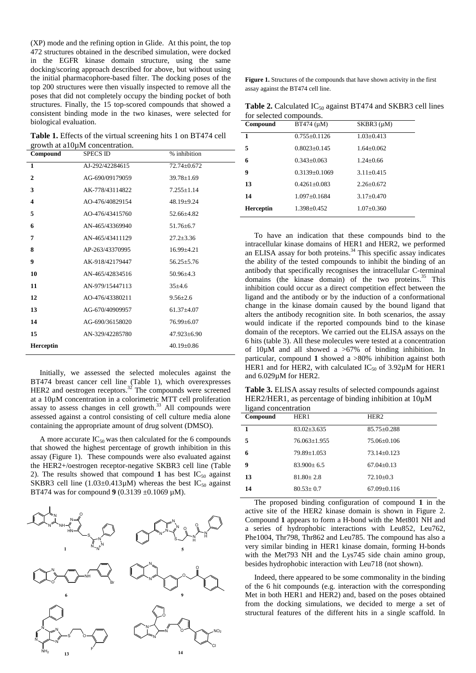(XP) mode and the refining option in Glide. At this point, the top 472 structures obtained in the described simulation, were docked in the EGFR kinase domain structure, using the same docking/scoring approach described for above, but without using the initial pharmacophore-based filter. The docking poses of the top 200 structures were then visually inspected to remove all the poses that did not completely occupy the binding pocket of both structures. Finally, the 15 top-scored compounds that showed a consistent binding mode in the two kinases, were selected for biological evaluation.

**Table 1.** Effects of the virtual screening hits 1 on BT474 cell growth at a10µM concentration.

| Compound                | <b>SPECS ID</b> | % inhibition      |
|-------------------------|-----------------|-------------------|
| $\mathbf{1}$            | AJ-292/42284615 | $72.74 + 0.672$   |
| $\overline{2}$          | AG-690/09179059 | $39.78 \pm 1.69$  |
| 3                       | AK-778/43114822 | $7.255 \pm 1.14$  |
| $\overline{\mathbf{4}}$ | AO-476/40829154 | $48.19 \pm 9.24$  |
| 5                       | AO-476/43415760 | $52.66 \pm 4.82$  |
| 6                       | AN-465/43369940 | $51.76 + 6.7$     |
| 7                       | AN-465/43411129 | $27.2 \pm 3.36$   |
| 8                       | AP-263/43370995 | $16.99 \pm 4.21$  |
| 9                       | AK-918/42179447 | $56.25 \pm 5.76$  |
| 10                      | AN-465/42834516 | $50.96 \pm 4.3$   |
| 11                      | AN-979/15447113 | $35+4.6$          |
| 12                      | AO-476/43380211 | $9.56 \pm 2.6$    |
| 13                      | AG-670/40909957 | $61.37 + 4.07$    |
| 14                      | AG-690/36158020 | $76.99 \pm 6.07$  |
| 15                      | AN-329/42285780 | $47.923 \pm 6.90$ |
| <b>Herceptin</b>        |                 | $40.19 + 0.86$    |

Initially, we assessed the selected molecules against the BT474 breast cancer cell line (Table 1), which overexpresses HER2 and oestrogen receptors. $32$  The compounds were screened at a 10µM concentration in a colorimetric MTT cell proliferation  $\frac{33}{2}$  assay to assess changes in cell growth.<sup>33</sup> All compounds were assessed against a control consisting of cell culture media alone containing the appropriate amount of drug solvent (DMSO).

A more accurate  $IC_{50}$  was then calculated for the 6 compounds that showed the highest percentage of growth inhibition in this assay (Figure 1). These compounds were also evaluated against the HER2+/oestrogen receptor-negative SKBR3 cell line (Table 2). The results showed that compound 1 has best  $IC_{50}$  against SKBR3 cell line  $(1.03\pm0.413\mu)$  whereas the best IC<sub>50</sub> against BT474 was for compound **9** (0.3139 ±0.1069 µM).



**Figure 1.** Structures of the compounds that have shown activity in the first assay against the BT474 cell line.

Table 2. Calculated IC<sub>50</sub> against BT474 and SKBR3 cell lines for selected compounds.

| Compound         | $BT474 \; (\mu M)$ | $SKBR3$ ( $\mu$ M) |
|------------------|--------------------|--------------------|
| 1                | $0.755 \pm 0.1126$ | $1.03 + 0.413$     |
| 5                | $0.8023 + 0.145$   | $1.64 + 0.062$     |
| 6                | $0.343 + 0.063$    | $1.24 + 0.66$      |
| 9                | $0.3139 + 0.1069$  | $3.11 + 0.415$     |
| 13               | $0.4261 + 0.083$   | $2.26 + 0.672$     |
| 14               | $1.097 + 0.1684$   | $3.17 + 0.470$     |
| <b>Herceptin</b> | $1.398 \pm 0.452$  | $1.07 + 0.360$     |

To have an indication that these compounds bind to the intracellular kinase domains of HER1 and HER2, we performed an ELISA assay for both proteins.<sup>34</sup> This specific assay indicates the ability of the tested compounds to inhibit the binding of an antibody that specifically recognises the intracellular C-terminal domains (the kinase domain) of the two proteins. $35$  This inhibition could occur as a direct competition effect between the ligand and the antibody or by the induction of a conformational change in the kinase domain caused by the bound ligand that alters the antibody recognition site. In both scenarios, the assay would indicate if the reported compounds bind to the kinase domain of the receptors. We carried out the ELISA assays on the 6 hits (table 3). All these molecules were tested at a concentration of  $10\mu$ M and all showed a  $>67\%$  of binding inhibition. In particular, compound **1** showed a >80% inhibition against both HER1 and for HER2, with calculated  $IC_{50}$  of 3.92 $\mu$ M for HER1 and 6.029µM for HER2.

**Table 3.** ELISA assay results of selected compounds against HER2/HER1, as percentage of binding inhibition at  $10\mu$ M ligand concentration

| - -<br>Compound | HER <sub>1</sub>   | HER <sub>2</sub>  |
|-----------------|--------------------|-------------------|
|                 | $83.02 \pm 3.635$  | $85.75 \pm 0.288$ |
| 5               | $76.063 \pm 1.955$ | $75.06 \pm 0.106$ |
| 6               | $79.89 \pm 1.053$  | $73.14 \pm 0.123$ |
| 9               | $83.900 \pm 6.5$   | $67.04 \pm 0.13$  |
| 13              | $81.80 + 2.8$      | $72.10 \pm 0.3$   |
| 14              | $80.53 \pm 0.7$    | $67.09 \pm 0.116$ |

The proposed binding configuration of compound **1** in the active site of the HER2 kinase domain is shown in Figure 2. Compound **1** appears to form a H-bond with the Met801 NH and a series of hydrophobic interactions with Leu852, Leu762, Phe1004, Thr798, Thr862 and Leu785. The compound has also a very similar binding in HER1 kinase domain, forming H-bonds with the Met793 NH and the Lys745 side chain amino group, besides hydrophobic interaction with Leu718 (not shown).

Indeed, there appeared to be some commonality in the binding of the 6 hit compounds (e.g. interaction with the corresponding Met in both HER1 and HER2) and, based on the poses obtained from the docking simulations, we decided to merge a set of structural features of the different hits in a single scaffold. In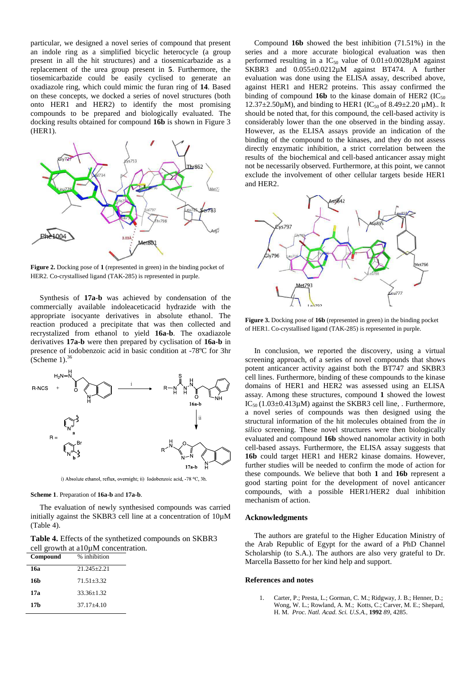particular, we designed a novel series of compound that present an indole ring as a simplified bicyclic heterocycle (a group present in all the hit structures) and a tiosemicarbazide as a replacement of the urea group present in **5**. Furthermore, the tiosemicarbazide could be easily cyclised to generate an oxadiazole ring, which could mimic the furan ring of **14**. Based on these concepts, we docked a series of novel structures (both onto HER1 and HER2) to identify the most promising compounds to be prepared and biologically evaluated. The docking results obtained for compound **16b** is shown in Figure 3 (HER1).



**Figure 2.** Docking pose of **1** (represented in green) in the binding pocket of HER2. Co-crystallised ligand (TAK-285) is represented in purple.

Synthesis of **17a-b** was achieved by condensation of the commercially available indoleaceticacid hydrazide with the appropriate isocyante derivatives in absolute ethanol. The reaction produced a precipitate that was then collected and recrystalized from ethanol to yield **16a-b**. The oxadiazole derivatives **17a-b** were then prepared by cyclisation of **16a-b** in presence of iodobenzoic acid in basic condition at -78ºC for 3hr (Scheme 1). $\frac{3}{5}$ 



i) Absolute ethanol, reflux, overnight; ii) Iodobenzoic acid, -78 °C, 3h.

#### **Scheme 1**. Preparation of **16a-b** and **17a-b**.

The evaluation of newly synthesised compounds was carried initially against the SKBR3 cell line at a concentration of 10µM (Table 4).

**Table 4.** Effects of the synthetized compounds on SKBR3 cell growth at  $a10\mu$ M concentration.<br>Compound % inhibition **Compound** % inhibition

| $\sim$ $\sim$ $\sim$ $\sim$ | $\sim$ $\sim$   |
|-----------------------------|-----------------|
| 16a                         | $21.245 + 2.21$ |
| 16b                         | $71.51 + 3.32$  |
| 17a                         | $33.36 + 1.32$  |
| 17b                         | $37.17 + 4.10$  |
|                             |                 |

Compound **16b** showed the best inhibition (71.51%) in the series and a more accurate biological evaluation was then performed resulting in a  $IC_{50}$  value of  $0.01\pm0.0028\mu$ M against SKBR3 and  $0.055\pm0.0212\mu$ M against BT474. A further evaluation was done using the ELISA assay, described above, against HER1 and HER2 proteins. This assay confirmed the binding of compound **16b** to the kinase domain of HER2 ( $IC_{50}$ )  $12.37\pm2.50\mu$ M), and binding to HER1 (IC<sub>50</sub> of 8.49 $\pm$ 2.20  $\mu$ M).. It should be noted that, for this compound, the cell-based activity is considerably lower than the one observed in the binding assay. However, as the ELISA assays provide an indication of the binding of the compound to the kinases, and they do not assess directly enzymatic inhibition, a strict correlation between the results of the biochemical and cell-based anticancer assay might not be necessarily observed. Furthermore, at this point, we cannot exclude the involvement of other cellular targets beside HER1 and HER2.



**Figure 3.** Docking pose of **16b** (represented in green) in the binding pocket of HER1. Co-crystallised ligand (TAK-285) is represented in purple.

In conclusion, we reported the discovery, using a virtual screening approach, of a series of novel compounds that shows potent anticancer activity against both the BT747 and SKBR3 cell lines. Furthermore, binding of these compounds to the kinase domains of HER1 and HER2 was assessed using an ELISA assay. Among these structures, compound **1** showed the lowest IC<sub>50</sub> (1.03 $\pm$ 0.413µM) against the SKBR3 cell line, . Furthermore, a novel series of compounds was then designed using the structural information of the hit molecules obtained from the *in silico* screening. These novel structures were then biologically evaluated and compound **16b** showed nanomolar activity in both cell-based assays. Furthermore, the ELISA assay suggests that **16b** could target HER1 and HER2 kinase domains. However, further studies will be needed to confirm the mode of action for these compounds. We believe that both **1** and **16b** represent a good starting point for the development of novel anticancer compounds, with a possible HER1/HER2 dual inhibition mechanism of action.

#### **Acknowledgments**

The authors are grateful to the Higher Education Ministry of the Arab Republic of Egypt for the award of a PhD Channel Scholarship (to S.A.). The authors are also very grateful to Dr. Marcella Bassetto for her kind help and support.

#### **References and notes**

1. Carter, P.; Presta, L.; Gorman, C. M.; Ridgway, J. B.; Henner, D.; Wong, W. L.; Rowland, A. M.; Kotts, C.; Carver, M. E.; Shepard, H. M. *Proc. Natl. Acad. Sci. U.S.A.,* **1992** *89*, 4285.